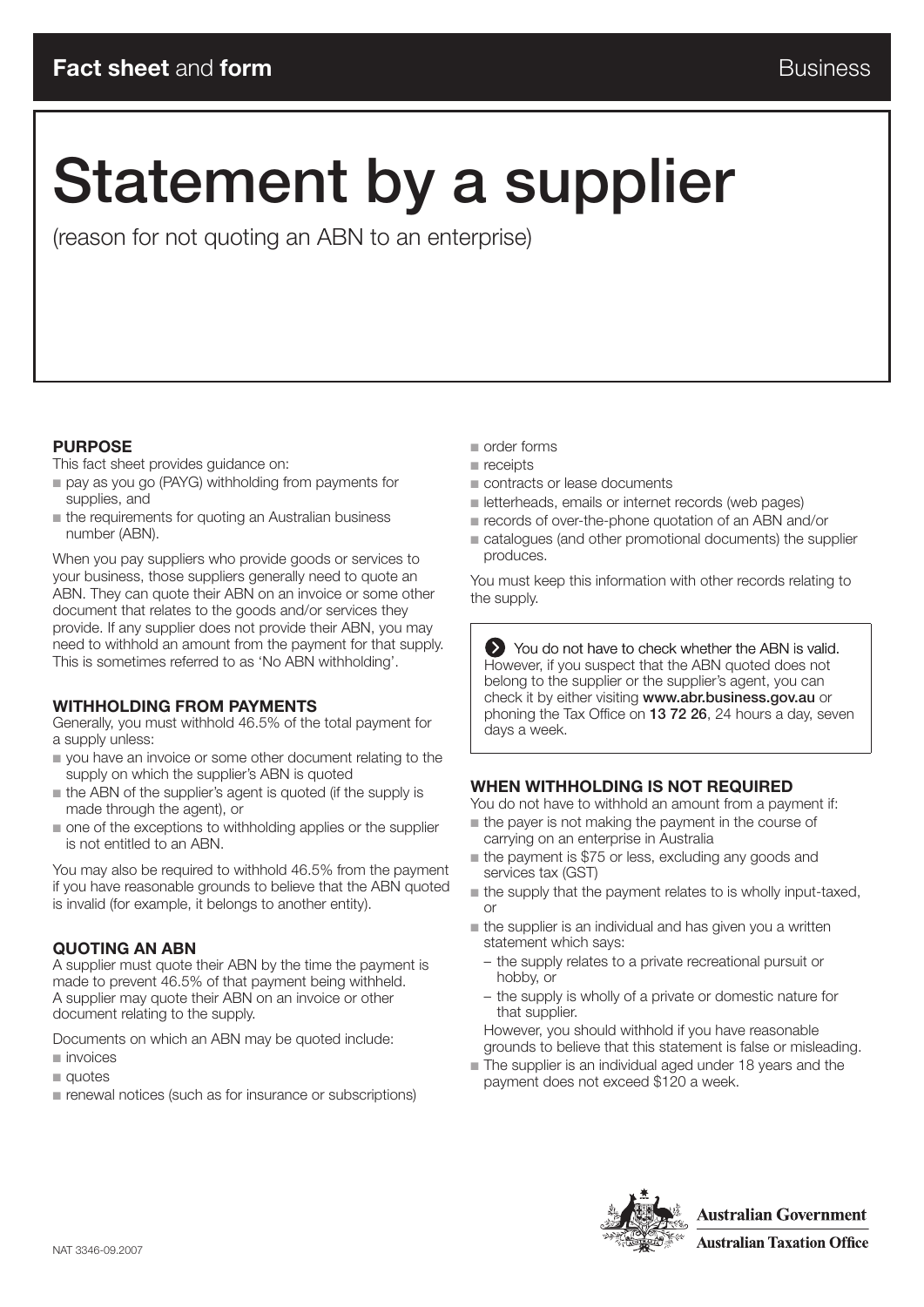# Statement by a supplier

(reason for not quoting an ABN to an enterprise)

#### **Purpose**

This fact sheet provides guidance on:

- pay as you go (PAYG) withholding from payments for supplies, and
- $\blacksquare$  the requirements for quoting an Australian business number (ABN).

When you pay suppliers who provide goods or services to your business, those suppliers generally need to quote an ABN. They can quote their ABN on an invoice or some other document that relates to the goods and/or services they provide. If any supplier does not provide their ABN, you may need to withhold an amount from the payment for that supply. This is sometimes referred to as 'No ABN withholding'.

#### **Withholding from payments**

Generally, you must withhold 46.5% of the total payment for a supply unless:

- n you have an invoice or some other document relating to the supply on which the supplier's ABN is quoted
- $\blacksquare$  the ABN of the supplier's agent is quoted (if the supply is made through the agent), or
- $\blacksquare$  one of the exceptions to withholding applies or the supplier is not entitled to an ABN.

You may also be required to withhold 46.5% from the payment if you have reasonable grounds to believe that the ABN quoted is invalid (for example, it belongs to another entity).

#### **Quoting an ABN**

A supplier must quote their ABN by the time the payment is made to prevent 46.5% of that payment being withheld. A supplier may quote their ABN on an invoice or other document relating to the supply.

Documents on which an ABN may be quoted include:

- $\blacksquare$  invoices
- $\blacksquare$  quotes
- $\blacksquare$  renewal notices (such as for insurance or subscriptions)
- $\blacksquare$  order forms
- $receipts$
- contracts or lease documents
- n letterheads, emails or internet records (web pages)
- $\blacksquare$  records of over-the-phone quotation of an ABN and/or
- $\blacksquare$  catalogues (and other promotional documents) the supplier produces.

You must keep this information with other records relating to the supply.

 $\sum$  You do not have to check whether the ABN is valid. However, if you suspect that the ABN quoted does not belong to the supplier or the supplier's agent, you can check it by either visiting www.abr.business.gov.au or phoning the Tax Office on 13 72 26, 24 hours a day, seven days a week.

#### **When withholding is not required**

You do not have to withhold an amount from a payment if:

- n the payer is not making the payment in the course of carrying on an enterprise in Australia
- $\blacksquare$  the payment is \$75 or less, excluding any goods and services tax (GST)
- $\blacksquare$  the supply that the payment relates to is wholly input-taxed, or
- $n$  the supplier is an individual and has given you a written statement which says:
	- the supply relates to a private recreational pursuit or hobby, or
	- the supply is wholly of a private or domestic nature for that supplier.

However, you should withhold if you have reasonable grounds to believe that this statement is false or misleading.

The supplier is an individual aged under 18 years and the payment does not exceed \$120 a week.

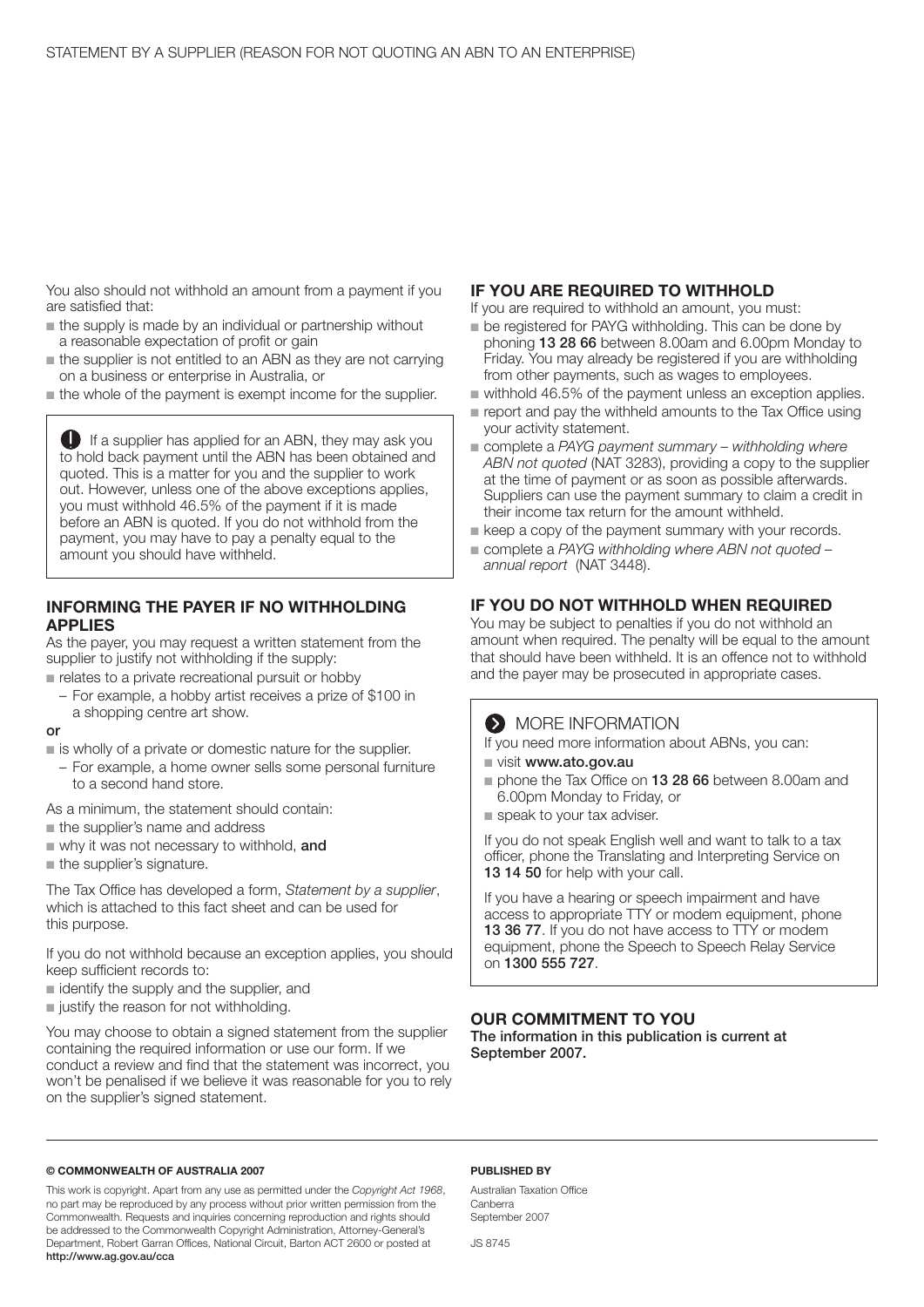You also should not withhold an amount from a payment if you are satisfied that:

- $\blacksquare$  the supply is made by an individual or partnership without a reasonable expectation of profit or gain
- $\blacksquare$  the supplier is not entitled to an ABN as they are not carrying on a business or enterprise in Australia, or
- $\blacksquare$  the whole of the payment is exempt income for the supplier.

 If a supplier has applied for an ABN, they may ask you to hold back payment until the ABN has been obtained and quoted. This is a matter for you and the supplier to work out. However, unless one of the above exceptions applies, you must withhold 46.5% of the payment if it is made before an ABN is quoted. If you do not withhold from the payment, you may have to pay a penalty equal to the amount you should have withheld.

#### **INFORMING THE PAYER IF NO WITHHOLDING applies**

As the payer, you may request a written statement from the supplier to justify not withholding if the supply:

n relates to a private recreational pursuit or hobby

– For example, a hobby artist receives a prize of \$100 in a shopping centre art show.

#### or

- $\blacksquare$  is wholly of a private or domestic nature for the supplier.
- For example, a home owner sells some personal furniture to a second hand store.

As a minimum, the statement should contain:

- the supplier's name and address
- $\blacksquare$  why it was not necessary to withhold, and
- $\blacksquare$  the supplier's signature.

The Tax Office has developed a form, *Statement by a supplier*, which is attached to this fact sheet and can be used for this purpose.

If you do not withhold because an exception applies, you should keep sufficient records to:

- $\blacksquare$  identify the supply and the supplier, and
- $\blacksquare$  justify the reason for not withholding.

You may choose to obtain a signed statement from the supplier containing the required information or use our form. If we conduct a review and find that the statement was incorrect, you won't be penalised if we believe it was reasonable for you to rely on the supplier's signed statement.

#### **If you are required to withhold**

If you are required to withhold an amount, you must:

- $\blacksquare$  be registered for PAYG withholding. This can be done by phoning 13 28 66 between 8.00am and 6.00pm Monday to Friday. You may already be registered if you are withholding from other payments, such as wages to employees.
- $\blacksquare$  withhold 46.5% of the payment unless an exception applies.
- $\blacksquare$  report and pay the withheld amounts to the Tax Office using your activity statement.
- complete a PAYG payment summary withholding where *ABN not quoted* (NAT 3283), providing a copy to the supplier at the time of payment or as soon as possible afterwards. Suppliers can use the payment summary to claim a credit in their income tax return for the amount withheld.
- $\blacksquare$  keep a copy of the payment summary with your records.
- complete a PAYG withholding where ABN not quoted *annual report* (NAT 3448).

#### **If you do not withhold when required**

You may be subject to penalties if you do not withhold an amount when required. The penalty will be equal to the amount that should have been withheld. It is an offence not to withhold and the payer may be prosecuted in appropriate cases.

#### **MORE INFORMATION**

If you need more information about ABNs, you can:

- visit www.ato.gov.au
- phone the Tax Office on **13 28 66** between 8.00am and 6.00pm Monday to Friday, or
- speak to your tax adviser.

If you do not speak English well and want to talk to a tax officer, phone the Translating and Interpreting Service on 13 14 50 for help with your call.

If you have a hearing or speech impairment and have access to appropriate TTY or modem equipment, phone 13 36 77. If you do not have access to TTY or modem equipment, phone the Speech to Speech Relay Service on 1300 555 727.

#### **Our commitment to you**

The information in this publication is current at September 2007.

#### **© Commonwealth of Australia 2007**

This work is copyright. Apart from any use as permitted under the *Copyright Act 1968*, no part may be reproduced by any process without prior written permission from the Commonwealth. Requests and inquiries concerning reproduction and rights should be addressed to the Commonwealth Copyright Administration, Attorney-General's Department, Robert Garran Offices, National Circuit, Barton ACT 2600 or posted at http://www.ag.gov.au/cca

#### **Published by**

Australian Taxation Office Canberra September 2007

JS 8745